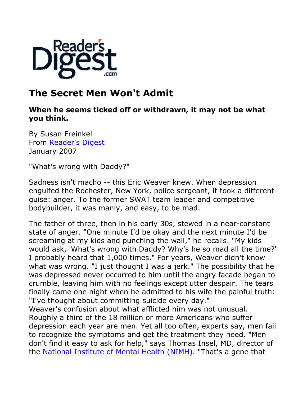

# **The Secret Men Won't Admit**

## **When he seems ticked off or withdrawn, it may not be what you think.**

By Susan Freinkel From Reader's Digest January 2007

"What's wrong with Daddy?"

Sadness isn't macho -- this Eric Weaver knew. When depression engulfed the Rochester, New York, police sergeant, it took a different guise: anger. To the former SWAT team leader and competitive bodybuilder, it was manly, and easy, to be mad.

The father of three, then in his early 30s, stewed in a near-constant state of anger. "One minute I'd be okay and the next minute I'd be screaming at my kids and punching the wall," he recalls. "My kids would ask, 'What's wrong with Daddy? Why's he so mad all the time?' I probably heard that 1,000 times." For years, Weaver didn't know what was wrong. "I just thought I was a jerk." The possibility that he was depressed never occurred to him until the angry facade began to crumble, leaving him with no feelings except utter despair. The tears finally came one night when he admitted to his wife the painful truth: "I've thought about committing suicide every day."

Weaver's confusion about what afflicted him was not unusual. Roughly a third of the 18 million or more Americans who suffer depression each year are men. Yet all too often, experts say, men fail to recognize the symptoms and get the treatment they need. "Men don't find it easy to ask for help," says Thomas Insel, MD, director of the National Institute of Mental Health (NIMH). "That's a gene that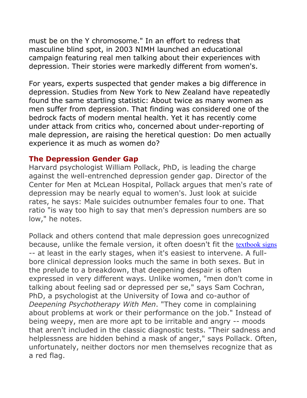must be on the Y chromosome." In an effort to redress that masculine blind spot, in 2003 NIMH launched an educational campaign featuring real men talking about their experiences with depression. Their stories were markedly different from women's.

For years, experts suspected that gender makes a big difference in depression. Studies from New York to New Zealand have repeatedly found the same startling statistic: About twice as many women as men suffer from depression. That finding was considered one of the bedrock facts of modern mental health. Yet it has recently come under attack from critics who, concerned about under-reporting of male depression, are raising the heretical question: Do men actually experience it as much as women do?

#### **The Depression Gender Gap**

Harvard psychologist William Pollack, PhD, is leading the charge against the well-entrenched depression gender gap. Director of the Center for Men at McLean Hospital, Pollack argues that men's rate of depression may be nearly equal to women's. Just look at suicide rates, he says: Male suicides outnumber females four to one. That ratio "is way too high to say that men's depression numbers are so low," he notes.

Pollack and others contend that male depression goes unrecognized because, unlike the female version, it often doesn't fit the textbook signs -- at least in the early stages, when it's easiest to intervene. A fullbore clinical depression looks much the same in both sexes. But in the prelude to a breakdown, that deepening despair is often expressed in very different ways. Unlike women, "men don't come in talking about feeling sad or depressed per se," says Sam Cochran, PhD, a psychologist at the University of Iowa and co-author of *Deepening Psychotherapy With Men*. "They come in complaining about problems at work or their performance on the job." Instead of being weepy, men are more apt to be irritable and angry -- moods that aren't included in the classic diagnostic tests. "Their sadness and helplessness are hidden behind a mask of anger," says Pollack. Often, unfortunately, neither doctors nor men themselves recognize that as a red flag.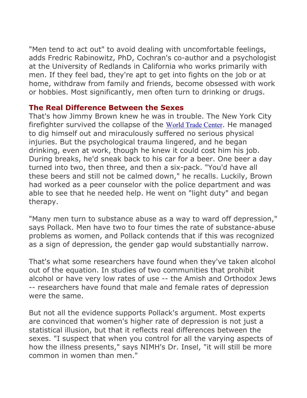"Men tend to act out" to avoid dealing with uncomfortable feelings, adds Fredric Rabinowitz, PhD, Cochran's co-author and a psychologist at the University of Redlands in California who works primarily with men. If they feel bad, they're apt to get into fights on the job or at home, withdraw from family and friends, become obsessed with work or hobbies. Most significantly, men often turn to drinking or drugs.

#### **The Real Difference Between the Sexes**

That's how Jimmy Brown knew he was in trouble. The New York City firefighter survived the collapse of the World Trade Center. He managed to dig himself out and miraculously suffered no serious physical injuries. But the psychological trauma lingered, and he began drinking, even at work, though he knew it could cost him his job. During breaks, he'd sneak back to his car for a beer. One beer a day turned into two, then three, and then a six-pack. "You'd have all these beers and still not be calmed down," he recalls. Luckily, Brown had worked as a peer counselor with the police department and was able to see that he needed help. He went on "light duty" and began therapy.

"Many men turn to substance abuse as a way to ward off depression," says Pollack. Men have two to four times the rate of substance-abuse problems as women, and Pollack contends that if this was recognized as a sign of depression, the gender gap would substantially narrow.

That's what some researchers have found when they've taken alcohol out of the equation. In studies of two communities that prohibit alcohol or have very low rates of use -- the Amish and Orthodox Jews -- researchers have found that male and female rates of depression were the same.

But not all the evidence supports Pollack's argument. Most experts are convinced that women's higher rate of depression is not just a statistical illusion, but that it reflects real differences between the sexes. "I suspect that when you control for all the varying aspects of how the illness presents," says NIMH's Dr. Insel, "it will still be more common in women than men."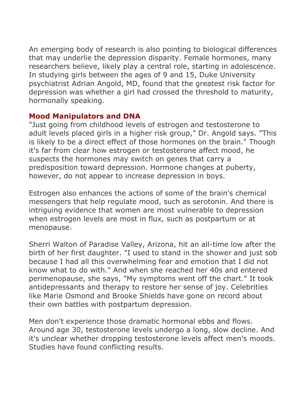An emerging body of research is also pointing to biological differences that may underlie the depression disparity. Female hormones, many researchers believe, likely play a central role, starting in adolescence. In studying girls between the ages of 9 and 15, Duke University psychiatrist Adrian Angold, MD, found that the greatest risk factor for depression was whether a girl had crossed the threshold to maturity, hormonally speaking.

## **Mood Manipulators and DNA**

"Just going from childhood levels of estrogen and testosterone to adult levels placed girls in a higher risk group," Dr. Angold says. "This is likely to be a direct effect of those hormones on the brain." Though it's far from clear how estrogen or testosterone affect mood, he suspects the hormones may switch on genes that carry a predisposition toward depression. Hormone changes at puberty, however, do not appear to increase depression in boys.

Estrogen also enhances the actions of some of the brain's chemical messengers that help regulate mood, such as serotonin. And there is intriguing evidence that women are most vulnerable to depression when estrogen levels are most in flux, such as postpartum or at menopause.

Sherri Walton of Paradise Valley, Arizona, hit an all-time low after the birth of her first daughter. "I used to stand in the shower and just sob because I had all this overwhelming fear and emotion that I did not know what to do with." And when she reached her 40s and entered perimenopause, she says, "My symptoms went off the chart." It took antidepressants and therapy to restore her sense of joy. Celebrities like Marie Osmond and Brooke Shields have gone on record about their own battles with postpartum depression.

Men don't experience those dramatic hormonal ebbs and flows. Around age 30, testosterone levels undergo a long, slow decline. And it's unclear whether dropping testosterone levels affect men's moods. Studies have found conflicting results.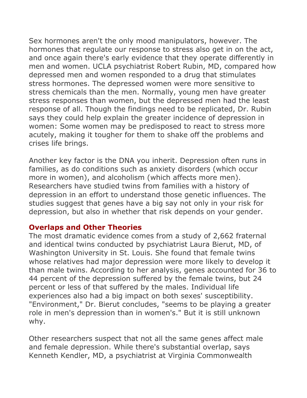Sex hormones aren't the only mood manipulators, however. The hormones that regulate our response to stress also get in on the act, and once again there's early evidence that they operate differently in men and women. UCLA psychiatrist Robert Rubin, MD, compared how depressed men and women responded to a drug that stimulates stress hormones. The depressed women were more sensitive to stress chemicals than the men. Normally, young men have greater stress responses than women, but the depressed men had the least response of all. Though the findings need to be replicated, Dr. Rubin says they could help explain the greater incidence of depression in women: Some women may be predisposed to react to stress more acutely, making it tougher for them to shake off the problems and crises life brings.

Another key factor is the DNA you inherit. Depression often runs in families, as do conditions such as anxiety disorders (which occur more in women), and alcoholism (which affects more men). Researchers have studied twins from families with a history of depression in an effort to understand those genetic influences. The studies suggest that genes have a big say not only in your risk for depression, but also in whether that risk depends on your gender.

### **Overlaps and Other Theories**

The most dramatic evidence comes from a study of 2,662 fraternal and identical twins conducted by psychiatrist Laura Bierut, MD, of Washington University in St. Louis. She found that female twins whose relatives had major depression were more likely to develop it than male twins. According to her analysis, genes accounted for 36 to 44 percent of the depression suffered by the female twins, but 24 percent or less of that suffered by the males. Individual life experiences also had a big impact on both sexes' susceptibility. "Environment," Dr. Bierut concludes, "seems to be playing a greater role in men's depression than in women's." But it is still unknown why.

Other researchers suspect that not all the same genes affect male and female depression. While there's substantial overlap, says Kenneth Kendler, MD, a psychiatrist at Virginia Commonwealth